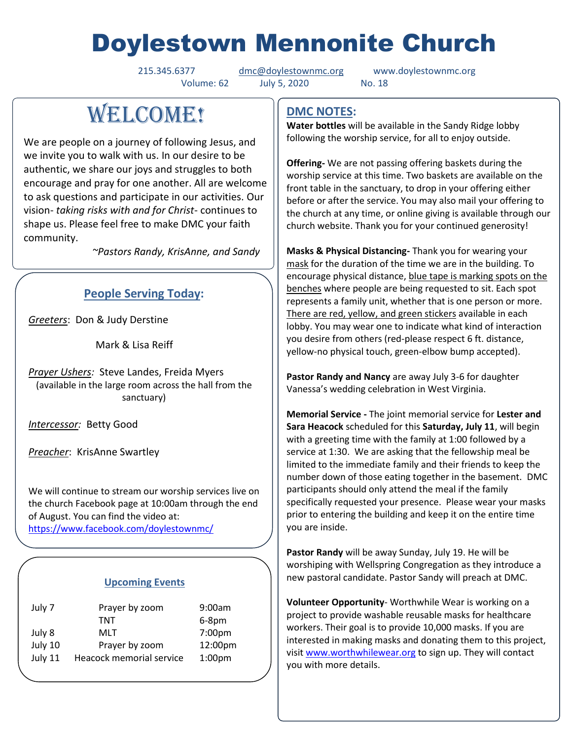# Doylestown Mennonite Church

Volume: 62 July 5, 2020 No. 18

215.345.6377 [dmc@doylestownmc.org](mailto:dmc@doylestownmc.org) www.doylestownmc.org

## **WELCOME!**

We are people on a journey of following Jesus, and we invite you to walk with us. In our desire to be authentic, we share our joys and struggles to both encourage and pray for one another. All are welcome to ask questions and participate in our activities. Our vision- *taking risks with and for Christ*- continues to shape us. Please feel free to make DMC your faith community.

 *~Pastors Randy, KrisAnne, and Sandy*

## **People Serving Today:**

*Greeters*: Don & Judy Derstine

Mark & Lisa Reiff

*Prayer Ushers:* Steve Landes, Freida Myers (available in the large room across the hall from the sanctuary)

*Intercessor:* Betty Good

*Preacher*: KrisAnne Swartley

We will continue to stream our worship services live on the church Facebook page at 10:00am through the end of August. You can find the video at:

<https://www.facebook.com/doylestownmc/>

## **Upcoming Events**

| July 7  | Prayer by zoom           | 9:00am             |
|---------|--------------------------|--------------------|
|         | TNT                      | $6-8$ pm           |
| July 8  | MLT                      | 7:00pm             |
| July 10 | Prayer by zoom           | 12:00pm            |
| July 11 | Heacock memorial service | 1:00 <sub>pm</sub> |

## **DMC NOTES:**

**Water bottles** will be available in the Sandy Ridge lobby following the worship service, for all to enjoy outside.

**Offering-** We are not passing offering baskets during the worship service at this time. Two baskets are available on the front table in the sanctuary, to drop in your offering either before or after the service. You may also mail your offering to the church at any time, or online giving is available through our church website. Thank you for your continued generosity!

**Masks & Physical Distancing-** Thank you for wearing your mask for the duration of the time we are in the building. To encourage physical distance, blue tape is marking spots on the benches where people are being requested to sit. Each spot represents a family unit, whether that is one person or more. There are red, yellow, and green stickers available in each lobby. You may wear one to indicate what kind of interaction you desire from others (red-please respect 6 ft. distance, yellow-no physical touch, green-elbow bump accepted).

**Pastor Randy and Nancy** are away July 3-6 for daughter Vanessa's wedding celebration in West Virginia.

**Memorial Service -** The joint memorial service for **Lester and Sara Heacock** scheduled for this **Saturday, July 11**, will begin with a greeting time with the family at 1:00 followed by a service at 1:30. We are asking that the fellowship meal be limited to the immediate family and their friends to keep the number down of those eating together in the basement. DMC participants should only attend the meal if the family specifically requested your presence. Please wear your masks prior to entering the building and keep it on the entire time you are inside.

**Pastor Randy** will be away Sunday, July 19. He will be worshiping with Wellspring Congregation as they introduce a new pastoral candidate. Pastor Sandy will preach at DMC.

**Volunteer Opportunity**- Worthwhile Wear is working on a project to provide washable reusable masks for healthcare workers. Their goal is to provide 10,000 masks. If you are interested in making masks and donating them to this project, visit [www.worthwhilewear.org](http://www.worthwhilewear.org/) to sign up. They will contact you with more details.